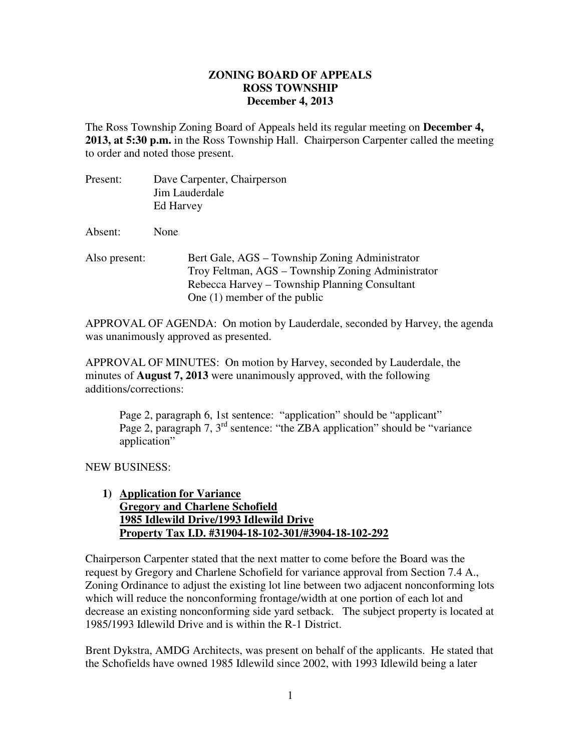## **ZONING BOARD OF APPEALS December 4, 2013 ROSS TOWNSHIP**

 The Ross Township Zoning Board of Appeals held its regular meeting on **December 4, 2013, at 5:30 p.m.** in the Ross Township Hall. Chairperson Carpenter called the meeting to order and noted those present.

| Present:      | Dave Carpenter, Chairperson<br>Jim Lauderdale<br>Ed Harvey                                                                                                                             |
|---------------|----------------------------------------------------------------------------------------------------------------------------------------------------------------------------------------|
| Absent:       | None                                                                                                                                                                                   |
| Also present: | Bert Gale, AGS – Township Zoning Administrator<br>Troy Feltman, AGS – Township Zoning Administrator<br>Rebecca Harvey – Township Planning Consultant<br>One $(1)$ member of the public |

 APPROVAL OF AGENDA: On motion by Lauderdale, seconded by Harvey, the agenda was unanimously approved as presented.

 APPROVAL OF MINUTES: On motion by Harvey, seconded by Lauderdale, the minutes of **August 7, 2013** were unanimously approved, with the following additions/corrections:

Page 2, paragraph 6, 1st sentence: "application" should be "applicant" Page 2, paragraph 7, 3<sup>rd</sup> sentence: "the ZBA application" should be "variance application"

NEW BUSINESS:

## 1) **Application for Variance Gregory and Charlene Schofield 1985 Idlewild Drive/1993 Idlewild Drive Property Tax I.D. #31904-18-102-301/#3904-18-102-292**

 Chairperson Carpenter stated that the next matter to come before the Board was the request by Gregory and Charlene Schofield for variance approval from Section 7.4 A., Zoning Ordinance to adjust the existing lot line between two adjacent nonconforming lots which will reduce the nonconforming frontage/width at one portion of each lot and decrease an existing nonconforming side yard setback. The subject property is located at 1985/1993 Idlewild Drive and is within the R-1 District.

 Brent Dykstra, AMDG Architects, was present on behalf of the applicants. He stated that the Schofields have owned 1985 Idlewild since 2002, with 1993 Idlewild being a later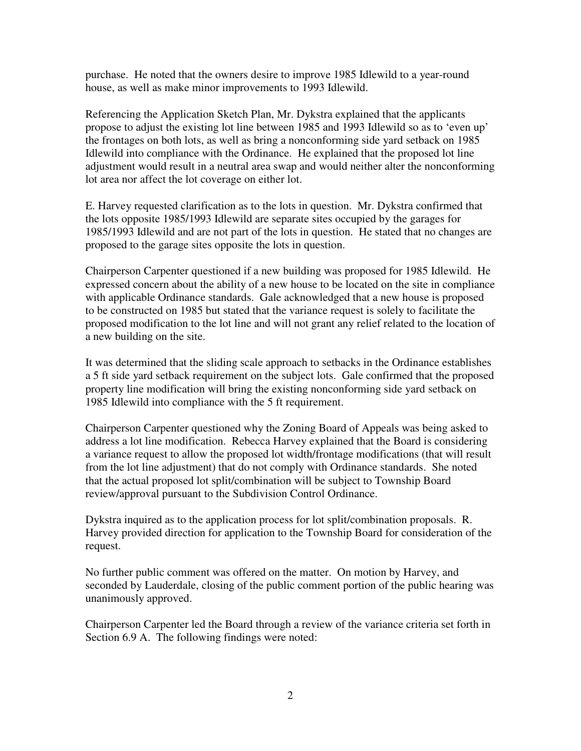purchase. He noted that the owners desire to improve 1985 Idlewild to a year-round house, as well as make minor improvements to 1993 Idlewild.

 Referencing the Application Sketch Plan, Mr. Dykstra explained that the applicants propose to adjust the existing lot line between 1985 and 1993 Idlewild so as to 'even up' the frontages on both lots, as well as bring a nonconforming side yard setback on 1985 Idlewild into compliance with the Ordinance. He explained that the proposed lot line adjustment would result in a neutral area swap and would neither alter the nonconforming lot area nor affect the lot coverage on either lot.

 E. Harvey requested clarification as to the lots in question. Mr. Dykstra confirmed that the lots opposite 1985/1993 Idlewild are separate sites occupied by the garages for 1985/1993 Idlewild and are not part of the lots in question. He stated that no changes are proposed to the garage sites opposite the lots in question.

 Chairperson Carpenter questioned if a new building was proposed for 1985 Idlewild. He expressed concern about the ability of a new house to be located on the site in compliance with applicable Ordinance standards. Gale acknowledged that a new house is proposed to be constructed on 1985 but stated that the variance request is solely to facilitate the proposed modification to the lot line and will not grant any relief related to the location of a new building on the site.

 It was determined that the sliding scale approach to setbacks in the Ordinance establishes a 5 ft side yard setback requirement on the subject lots. Gale confirmed that the proposed property line modification will bring the existing nonconforming side yard setback on 1985 Idlewild into compliance with the 5 ft requirement.

 Chairperson Carpenter questioned why the Zoning Board of Appeals was being asked to address a lot line modification. Rebecca Harvey explained that the Board is considering a variance request to allow the proposed lot width/frontage modifications (that will result from the lot line adjustment) that do not comply with Ordinance standards. She noted that the actual proposed lot split/combination will be subject to Township Board review/approval pursuant to the Subdivision Control Ordinance.

 Dykstra inquired as to the application process for lot split/combination proposals. R. Harvey provided direction for application to the Township Board for consideration of the request.

 No further public comment was offered on the matter. On motion by Harvey, and seconded by Lauderdale, closing of the public comment portion of the public hearing was unanimously approved.

 Chairperson Carpenter led the Board through a review of the variance criteria set forth in Section 6.9 A. The following findings were noted: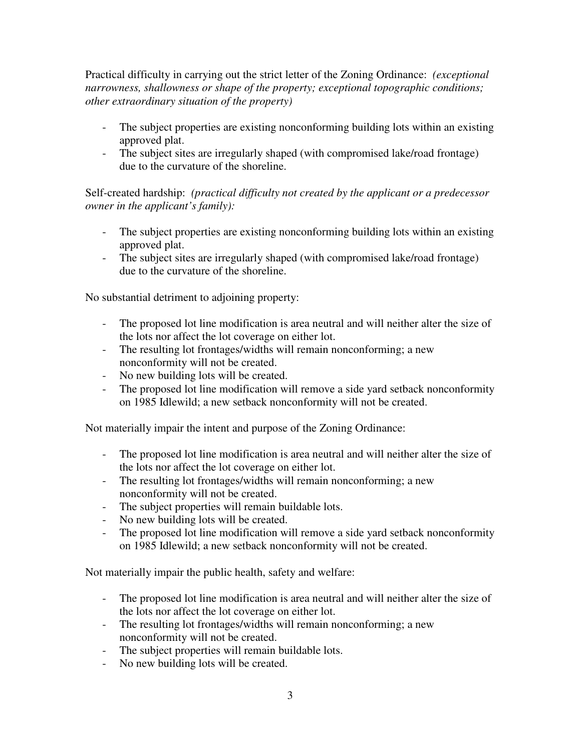Practical difficulty in carrying out the strict letter of the Zoning Ordinance: *(exceptional narrowness, shallowness or shape of the property; exceptional topographic conditions; other extraordinary situation of the property)* 

- - The subject properties are existing nonconforming building lots within an existing approved plat.
- - The subject sites are irregularly shaped (with compromised lake/road frontage) due to the curvature of the shoreline.

 Self-created hardship: *(practical difficulty not created by the applicant or a predecessor owner in the applicant's family):* 

- - The subject properties are existing nonconforming building lots within an existing approved plat.
- - The subject sites are irregularly shaped (with compromised lake/road frontage) due to the curvature of the shoreline.

No substantial detriment to adjoining property:

- - The proposed lot line modification is area neutral and will neither alter the size of the lots nor affect the lot coverage on either lot.
- - The resulting lot frontages/widths will remain nonconforming; a new nonconformity will not be created.
- No new building lots will be created.
- - The proposed lot line modification will remove a side yard setback nonconformity on 1985 Idlewild; a new setback nonconformity will not be created.

Not materially impair the intent and purpose of the Zoning Ordinance:

- - The proposed lot line modification is area neutral and will neither alter the size of the lots nor affect the lot coverage on either lot.
- - The resulting lot frontages/widths will remain nonconforming; a new nonconformity will not be created.
- The subject properties will remain buildable lots.
- No new building lots will be created.
- - The proposed lot line modification will remove a side yard setback nonconformity on 1985 Idlewild; a new setback nonconformity will not be created.

Not materially impair the public health, safety and welfare:

- - The proposed lot line modification is area neutral and will neither alter the size of the lots nor affect the lot coverage on either lot.
- - The resulting lot frontages/widths will remain nonconforming; a new nonconformity will not be created.
- The subject properties will remain buildable lots.
- No new building lots will be created.